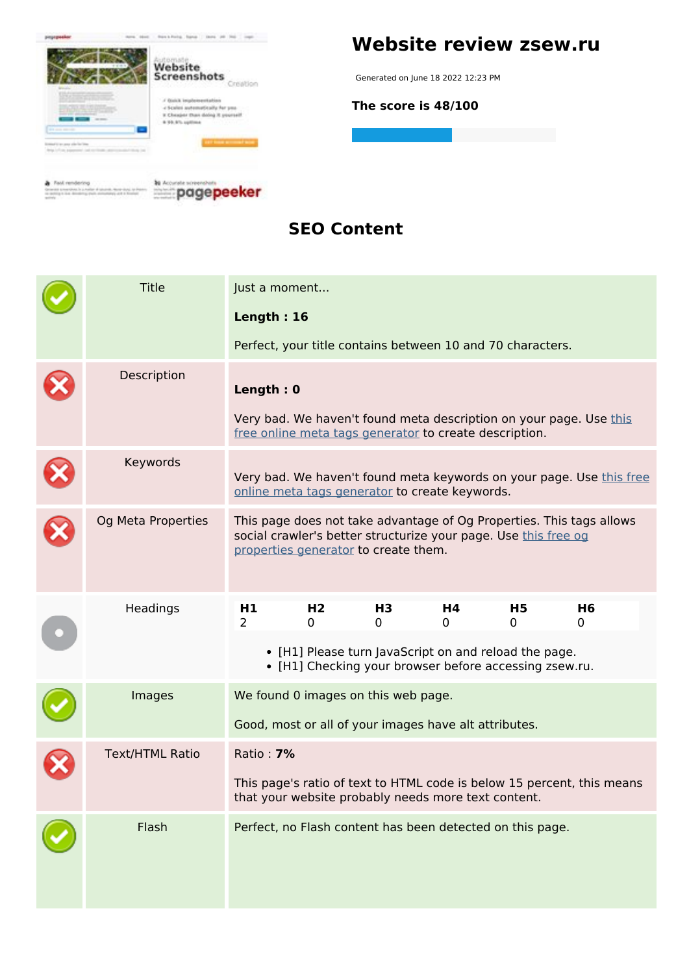

#### **SEO Content**

| <b>Title</b>           | Just a moment                                                                                                                 |                                                           |                     |                                                                 |         |                                                                      |  |
|------------------------|-------------------------------------------------------------------------------------------------------------------------------|-----------------------------------------------------------|---------------------|-----------------------------------------------------------------|---------|----------------------------------------------------------------------|--|
|                        | Length: 16                                                                                                                    |                                                           |                     |                                                                 |         |                                                                      |  |
|                        |                                                                                                                               |                                                           |                     | Perfect, your title contains between 10 and 70 characters.      |         |                                                                      |  |
| Description            | Length: 0                                                                                                                     |                                                           |                     |                                                                 |         |                                                                      |  |
|                        |                                                                                                                               |                                                           |                     | free online meta tags generator to create description.          |         | Very bad. We haven't found meta description on your page. Use this   |  |
| Keywords               | Very bad. We haven't found meta keywords on your page. Use this free<br>online meta tags generator to create keywords.        |                                                           |                     |                                                                 |         |                                                                      |  |
| Og Meta Properties     |                                                                                                                               | properties generator to create them.                      |                     | social crawler's better structurize your page. Use this free og |         | This page does not take advantage of Og Properties. This tags allows |  |
| Headings               | H1<br>$\overline{2}$                                                                                                          | H <sub>2</sub><br>0                                       | H <sub>3</sub><br>0 | Η4<br>0                                                         | H5<br>0 | H <sub>6</sub><br>0                                                  |  |
|                        | • [H1] Please turn JavaScript on and reload the page.<br>• [H1] Checking your browser before accessing zsew.ru.               |                                                           |                     |                                                                 |         |                                                                      |  |
| Images                 | We found 0 images on this web page.                                                                                           |                                                           |                     |                                                                 |         |                                                                      |  |
|                        | Good, most or all of your images have alt attributes.                                                                         |                                                           |                     |                                                                 |         |                                                                      |  |
| <b>Text/HTML Ratio</b> | Ratio: <b>7%</b>                                                                                                              |                                                           |                     |                                                                 |         |                                                                      |  |
|                        | This page's ratio of text to HTML code is below 15 percent, this means<br>that your website probably needs more text content. |                                                           |                     |                                                                 |         |                                                                      |  |
| Flash                  |                                                                                                                               | Perfect, no Flash content has been detected on this page. |                     |                                                                 |         |                                                                      |  |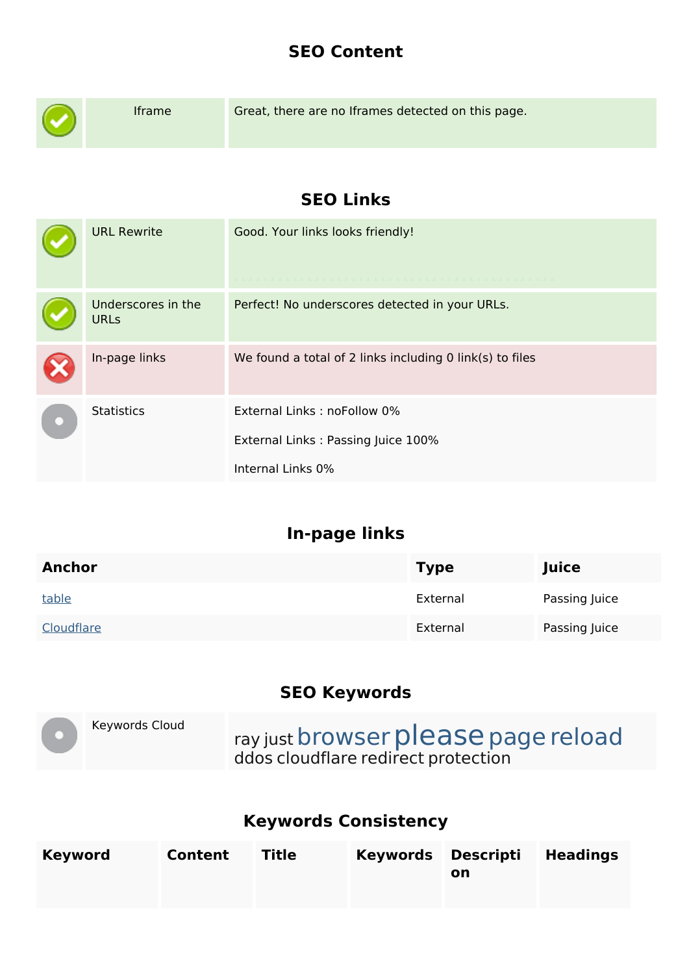#### **SEO Content**

| Iframe                            | Great, there are no Iframes detected on this page.                                     |  |  |
|-----------------------------------|----------------------------------------------------------------------------------------|--|--|
|                                   | <b>SEO Links</b>                                                                       |  |  |
| <b>URL Rewrite</b>                | Good. Your links looks friendly!                                                       |  |  |
| Underscores in the<br><b>URLs</b> | Perfect! No underscores detected in your URLs.                                         |  |  |
| In-page links                     | We found a total of 2 links including 0 link(s) to files                               |  |  |
| <b>Statistics</b>                 | External Links: noFollow 0%<br>External Links: Passing Juice 100%<br>Internal Links 0% |  |  |

# **In-page links**

| <b>Anchor</b> | <b>Type</b> | Juice         |
|---------------|-------------|---------------|
| table         | External    | Passing Juice |
| Cloudflare    | External    | Passing Juice |

### **SEO Keywords**

| Keywords Cloud | ray just browser please page reload |
|----------------|-------------------------------------|
|                | ddos cloudflare redirect protection |

# **Keywords Consistency**

| <b>Keyword</b> | Content | Title | Keywords Descripti Headings<br>on |  |
|----------------|---------|-------|-----------------------------------|--|
|                |         |       |                                   |  |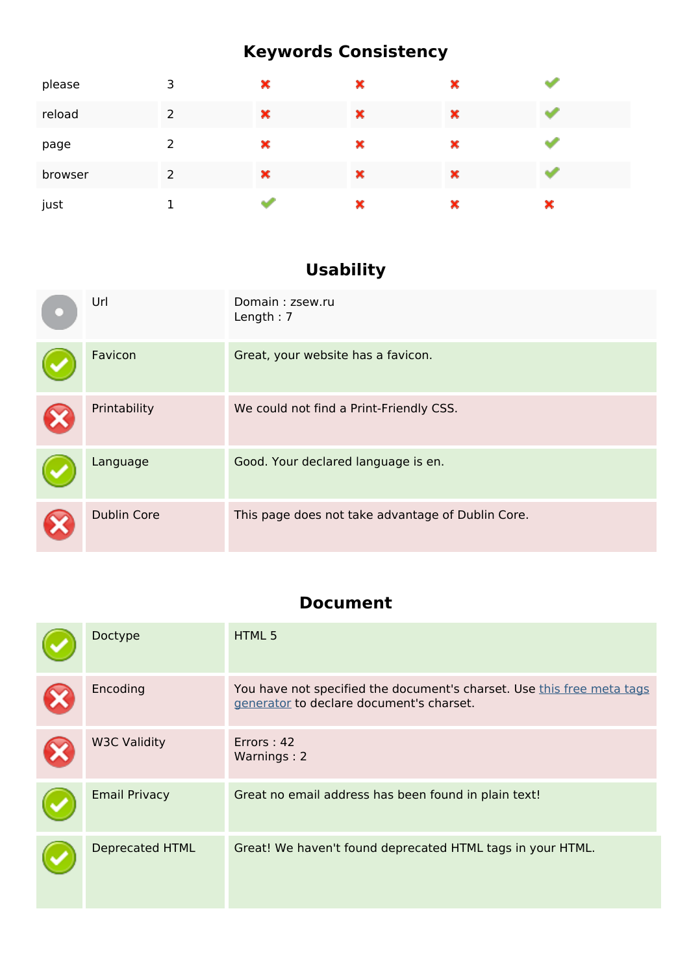# **Keywords Consistency**

| please  | 3 | × | × | × |   |
|---------|---|---|---|---|---|
| reload  | 2 | × | × | × |   |
| page    | 2 | × | × | × |   |
| browser | 2 | × | × | × |   |
| just    |   |   | × | × | × |

# **Usability**

| Url                | Domain: zsew.ru<br>Length: $7$                    |
|--------------------|---------------------------------------------------|
| Favicon            | Great, your website has a favicon.                |
| Printability       | We could not find a Print-Friendly CSS.           |
| Language           | Good. Your declared language is en.               |
| <b>Dublin Core</b> | This page does not take advantage of Dublin Core. |

### **Document**

| Doctype                | HTML 5                                                                                                             |
|------------------------|--------------------------------------------------------------------------------------------------------------------|
| Encoding               | You have not specified the document's charset. Use this free meta tags<br>generator to declare document's charset. |
| <b>W3C Validity</b>    | Errors: 42<br>Warnings: 2                                                                                          |
| <b>Email Privacy</b>   | Great no email address has been found in plain text!                                                               |
| <b>Deprecated HTML</b> | Great! We haven't found deprecated HTML tags in your HTML.                                                         |